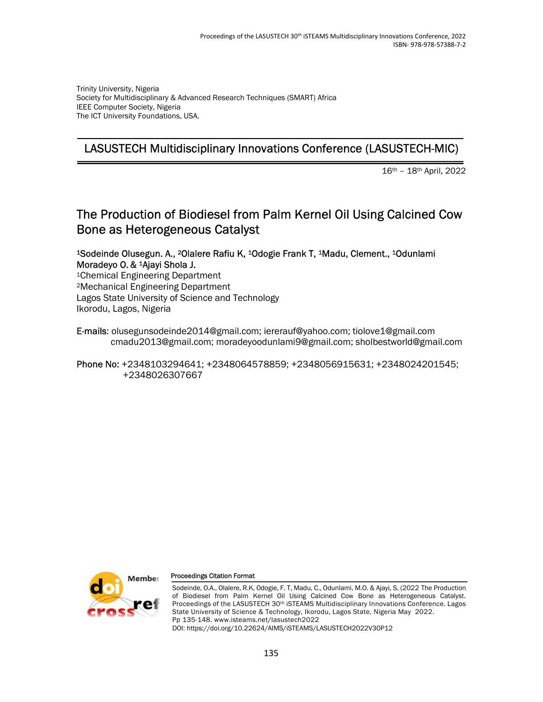Trinity University, Nigeria Society for Multidisciplinary & Advanced Research Techniques (SMART) Africa IEEE Computer Society, Nigeria The ICT University Foundations, USA.

## LASUSTECH Multidisciplinary Innovations Conference (LASUSTECH-MIC)

16th – 18th April, 2022

# The Production of Biodiesel from Palm Kernel Oil Using Calcined Cow Bone as Heterogeneous Catalyst

#### <sup>1</sup>Sodeinde Olusegun. A., 2Olalere Rafiu K, 1Odogie Frank T, 1Madu, Clement., 1Odunlami Moradeyo O. & 1Ajayi Shola J.

<sup>1</sup>Chemical Engineering Department <sup>2</sup>Mechanical Engineering Department Lagos State University of Science and Technology Ikorodu, Lagos, Nigeria

E-mails: olusegunsodeinde2014@gmail.com; iererauf@yahoo.com; tiolove1@gmail.com cmadu2013@gmail.com; moradeyoodunlami9@gmail.com; sholbestworld@gmail.com

#### Phone No: +2348103294641; +2348064578859; +2348056915631; +2348024201545; +2348026307667



#### Proceedings Citation Format

Sodeinde, O.A., Olalere, R.K, Odogie, F. T, Madu, C., Odunlami, M.O. & Ajayi, S. (2022 The Production of Biodiesel from Palm Kernel Oil Using Calcined Cow Bone as Heterogeneous Catalyst. Proceedings of the LASUSTECH 30<sup>th</sup> iSTEAMS Multidisciplinary Innovations Conference. Lagos State University of Science & Technology, Ikorodu, Lagos State, Nigeria May 2022. Pp 135-148. www.isteams.net/lasustech2022 DOI: https://doi.org/10.22624/AIMS/iSTEAMS/LASUSTECH2022V30P12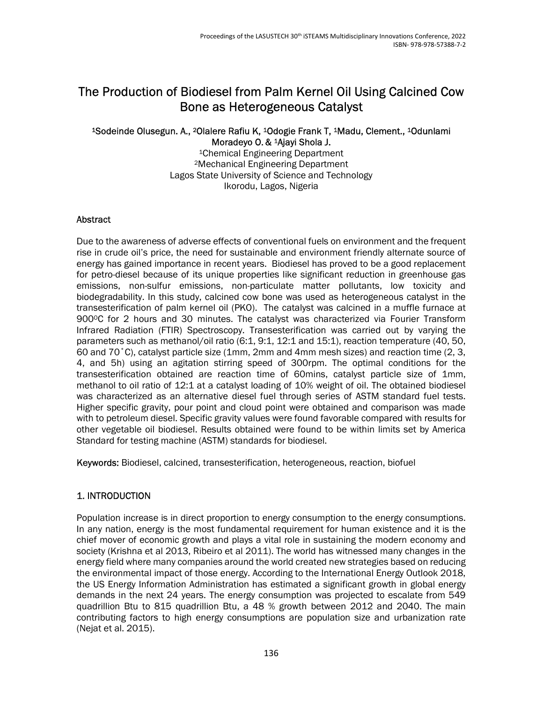# The Production of Biodiesel from Palm Kernel Oil Using Calcined Cow Bone as Heterogeneous Catalyst

## <sup>1</sup>Sodeinde Olusegun. A., 2Olalere Rafiu K, 1Odogie Frank T, 1Madu, Clement., 1Odunlami Moradeyo O. & 1Ajayi Shola J.

<sup>1</sup>Chemical Engineering Department <sup>2</sup>Mechanical Engineering Department Lagos State University of Science and Technology Ikorodu, Lagos, Nigeria

### **Abstract**

Due to the awareness of adverse effects of conventional fuels on environment and the frequent rise in crude oil's price, the need for sustainable and environment friendly alternate source of energy has gained importance in recent years. Biodiesel has proved to be a good replacement for petro-diesel because of its unique properties like significant reduction in greenhouse gas emissions, non-sulfur emissions, non-particulate matter pollutants, low toxicity and biodegradability. In this study, calcined cow bone was used as heterogeneous catalyst in the transesterification of palm kernel oil (PKO). The catalyst was calcined in a muffle furnace at 900°C for 2 hours and 30 minutes. The catalyst was characterized via Fourier Transform Infrared Radiation (FTIR) Spectroscopy. Transesterification was carried out by varying the parameters such as methanol/oil ratio (6:1, 9:1, 12:1 and 15:1), reaction temperature (40, 50, 60 and 70˚C), catalyst particle size (1mm, 2mm and 4mm mesh sizes) and reaction time (2, 3, 4, and 5h) using an agitation stirring speed of 300rpm. The optimal conditions for the transesterification obtained are reaction time of 60mins, catalyst particle size of 1mm, methanol to oil ratio of 12:1 at a catalyst loading of 10% weight of oil. The obtained biodiesel was characterized as an alternative diesel fuel through series of ASTM standard fuel tests. Higher specific gravity, pour point and cloud point were obtained and comparison was made with to petroleum diesel. Specific gravity values were found favorable compared with results for other vegetable oil biodiesel. Results obtained were found to be within limits set by America Standard for testing machine (ASTM) standards for biodiesel.

Keywords: Biodiesel, calcined, transesterification, heterogeneous, reaction, biofuel

## 1. INTRODUCTION

Population increase is in direct proportion to energy consumption to the energy consumptions. In any nation, energy is the most fundamental requirement for human existence and it is the chief mover of economic growth and plays a vital role in sustaining the modern economy and society (Krishna et al 2013, Ribeiro et al 2011). The world has witnessed many changes in the energy field where many companies around the world created new strategies based on reducing the environmental impact of those energy. According to the International Energy Outlook 2018, the US Energy Information Administration has estimated a significant growth in global energy demands in the next 24 years. The energy consumption was projected to escalate from 549 quadrillion Btu to 815 quadrillion Btu, a 48 % growth between 2012 and 2040. The main contributing factors to high energy consumptions are population size and urbanization rate (Nejat et al. 2015).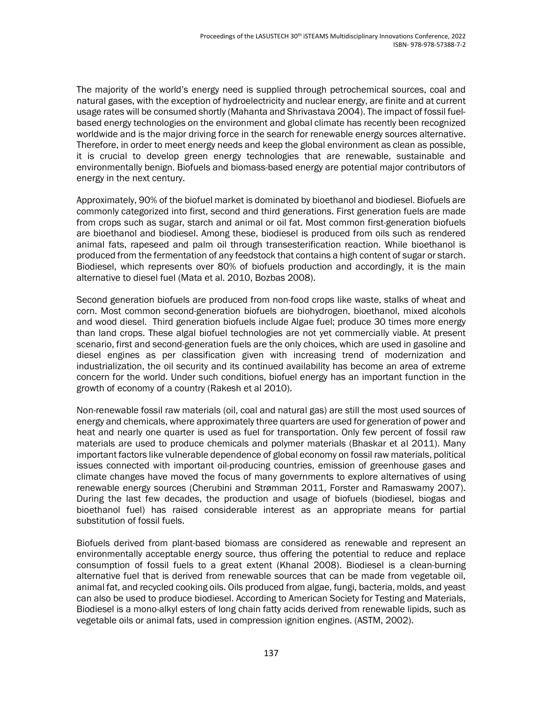The majority of the world's energy need is supplied through petrochemical sources, coal and natural gases, with the exception of hydroelectricity and nuclear energy, are finite and at current usage rates will be consumed shortly (Mahanta and Shrivastava 2004). The impact of fossil fuelbased energy technologies on the environment and global climate has recently been recognized worldwide and is the major driving force in the search for renewable energy sources alternative. Therefore, in order to meet energy needs and keep the global environment as clean as possible, it is crucial to develop green energy technologies that are renewable, sustainable and environmentally benign. Biofuels and biomass-based energy are potential major contributors of energy in the next century.

Approximately, 90% of the biofuel market is dominated by bioethanol and biodiesel. Biofuels are commonly categorized into first, second and third generations. First generation fuels are made from crops such as sugar, starch and animal or oil fat. Most common first-generation biofuels are bioethanol and biodiesel. Among these, biodiesel is produced from oils such as rendered animal fats, rapeseed and palm oil through transesterification reaction. While bioethanol is produced from the fermentation of any feedstock that contains a high content of sugar or starch. Biodiesel, which represents over 80% of biofuels production and accordingly, it is the main alternative to diesel fuel (Mata et al. 2010, Bozbas 2008).

Second generation biofuels are produced from non-food crops like waste, stalks of wheat and corn. Most common second-generation biofuels are biohydrogen, bioethanol, mixed alcohols and wood diesel. Third generation biofuels include Algae fuel; produce 30 times more energy than land crops. These algal biofuel technologies are not yet commercially viable. At present scenario, first and second-generation fuels are the only choices, which are used in gasoline and diesel engines as per classification given with increasing trend of modernization and industrialization, the oil security and its continued availability has become an area of extreme concern for the world. Under such conditions, biofuel energy has an important function in the growth of economy of a country (Rakesh et al 2010).

Non-renewable fossil raw materials (oil, coal and natural gas) are still the most used sources of energy and chemicals, where approximately three quarters are used for generation of power and heat and nearly one quarter is used as fuel for transportation. Only few percent of fossil raw materials are used to produce chemicals and polymer materials (Bhaskar et al 2011). Many important factors like vulnerable dependence of global economy on fossil raw materials, political issues connected with important oil-producing countries, emission of greenhouse gases and climate changes have moved the focus of many governments to explore alternatives of using renewable energy sources (Cherubini and Strømman 2011, Forster and Ramaswamy 2007). During the last few decades, the production and usage of biofuels (biodiesel, biogas and bioethanol fuel) has raised considerable interest as an appropriate means for partial substitution of fossil fuels.

Biofuels derived from plant-based biomass are considered as renewable and represent an environmentally acceptable energy source, thus offering the potential to reduce and replace consumption of fossil fuels to a great extent (Khanal 2008). Biodiesel is a clean-burning alternative fuel that is derived from renewable sources that can be made from vegetable oil, animal fat, and recycled cooking oils. Oils produced from algae, fungi, bacteria, molds, and yeast can also be used to produce biodiesel. According to American Society for Testing and Materials, Biodiesel is a mono-alkyl esters of long chain fatty acids derived from renewable lipids, such as vegetable oils or animal fats, used in compression ignition engines. (ASTM, 2002).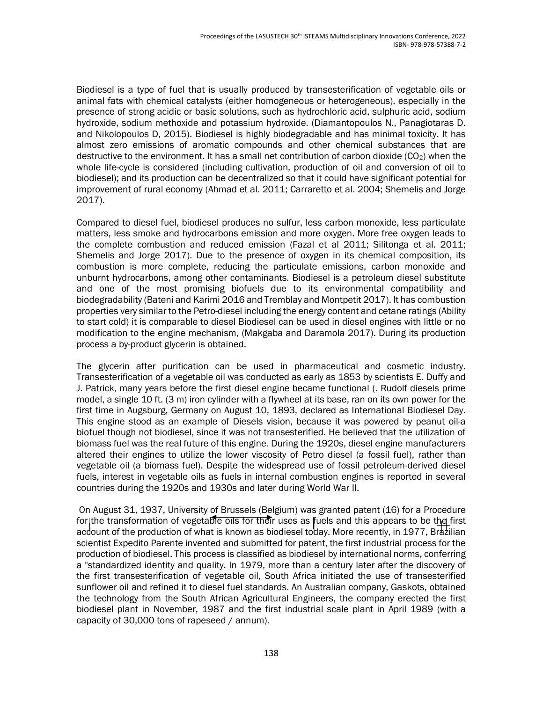Biodiesel is a type of fuel that is usually produced by transesterification of vegetable oils or animal fats with chemical catalysts (either homogeneous or heterogeneous), especially in the presence of strong acidic or basic solutions, such as hydrochloric acid, sulphuric acid, sodium hydroxide, sodium methoxide and potassium hydroxide. (Diamantopoulos N., Panagiotaras D. and Nikolopoulos D, 2015). Biodiesel is highly biodegradable and has minimal toxicity. It has almost zero emissions of aromatic compounds and other chemical substances that are destructive to the environment. It has a small net contribution of carbon dioxide ( $CO<sub>2</sub>$ ) when the whole life-cycle is considered (including cultivation, production of oil and conversion of oil to biodiesel); and its production can be decentralized so that it could have significant potential for improvement of rural economy (Ahmad et al. 2011; Carraretto et al. 2004; Shemelis and Jorge 2017).

Compared to diesel fuel, biodiesel produces no sulfur, less carbon monoxide, less particulate matters, less smoke and hydrocarbons emission and more oxygen. More free oxygen leads to the complete combustion and reduced emission (Fazal et al 2011; Silitonga et al. 2011; Shemelis and Jorge 2017). Due to the presence of oxygen in its chemical composition, its combustion is more complete, reducing the particulate emissions, carbon monoxide and unburnt hydrocarbons, among other contaminants. Biodiesel is a petroleum diesel substitute and one of the most promising biofuels due to its environmental compatibility and biodegradability (Bateni and Karimi 2016 and Tremblay and Montpetit 2017). It has combustion properties very similar to the Petro-diesel including the energy content and cetane ratings (Ability to start cold) it is comparable to diesel Biodiesel can be used in diesel engines with little or no modification to the engine mechanism, (Makgaba and Daramola 2017). During its production process a by-product glycerin is obtained.

The glycerin after purification can be used in pharmaceutical and cosmetic industry. Transesterification of a vegetable oil was conducted as early as 1853 by scientists E. Duffy and J. Patrick, many years before the first diesel engine became functional (. Rudolf diesels prime model, a single 10 ft. (3 m) iron cylinder with a flywheel at its base, ran on its own power for the first time in Augsburg, Germany on August 10, 1893, declared as International Biodiesel Day. This engine stood as an example of Diesels vision, because it was powered by peanut oil-a biofuel though not biodiesel, since it was not transesterified. He believed that the utilization of biomass fuel was the real future of this engine. During the 1920s, diesel engine manufacturers altered their engines to utilize the lower viscosity of Petro diesel (a fossil fuel), rather than vegetable oil (a biomass fuel). Despite the widespread use of fossil petroleum-derived diesel fuels, interest in vegetable oils as fuels in internal combustion engines is reported in several countries during the 1920s and 1930s and later during World War II.

 On August 31, 1937, University of Brussels (Belgium) was granted patent (16) for a Procedure for the transformation of vegetable oils for their uses as fuels and this appears to be the first account of the production of what is known as biodiesel to day. More recently, in 1977, Brazilian scientist Expedito Parente invented and submitted for patent, the first industrial process for the production of biodiesel. This process is classified as biodiesel by international norms, conferring a "standardized identity and quality. In 1979, more than a century later after the discovery of the first transesterification of vegetable oil, South Africa initiated the use of transesterified sunflower oil and refined it to diesel fuel standards. An Australian company, Gaskots, obtained the technology from the South African Agricultural Engineers, the company erected the first biodiesel plant in November, 1987 and the first industrial scale plant in April 1989 (with a capacity of 30,000 tons of rapeseed / annum).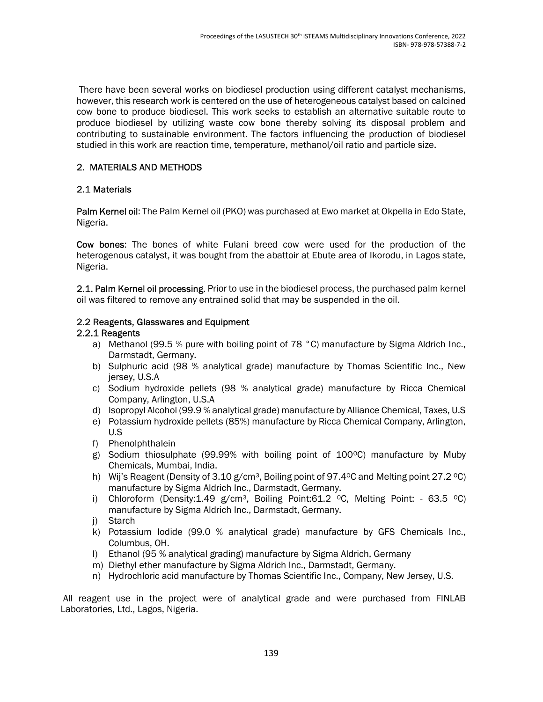There have been several works on biodiesel production using different catalyst mechanisms, however, this research work is centered on the use of heterogeneous catalyst based on calcined cow bone to produce biodiesel. This work seeks to establish an alternative suitable route to produce biodiesel by utilizing waste cow bone thereby solving its disposal problem and contributing to sustainable environment. The factors influencing the production of biodiesel studied in this work are reaction time, temperature, methanol/oil ratio and particle size.

## 2. MATERIALS AND METHODS

## 2.1 Materials

Palm Kernel oil: The Palm Kernel oil (PKO) was purchased at Ewo market at Okpella in Edo State, Nigeria.

Cow bones: The bones of white Fulani breed cow were used for the production of the heterogenous catalyst, it was bought from the abattoir at Ebute area of Ikorodu, in Lagos state, Nigeria.

2.1. Palm Kernel oil processing. Prior to use in the biodiesel process, the purchased palm kernel oil was filtered to remove any entrained solid that may be suspended in the oil.

## 2.2 Reagents, Glasswares and Equipment

### 2.2.1 Reagents

- a) Methanol (99.5 % pure with boiling point of 78 °C) manufacture by Sigma Aldrich Inc., Darmstadt, Germany.
- b) Sulphuric acid (98 % analytical grade) manufacture by Thomas Scientific Inc., New jersey, U.S.A
- c) Sodium hydroxide pellets (98 % analytical grade) manufacture by Ricca Chemical Company, Arlington, U.S.A
- d) Isopropyl Alcohol (99.9 % analytical grade) manufacture by Alliance Chemical, Taxes, U.S
- e) Potassium hydroxide pellets (85%) manufacture by Ricca Chemical Company, Arlington, U.S
- f) Phenolphthalein
- g) Sodium thiosulphate (99.99% with boiling point of  $100^{\circ}$ C) manufacture by Muby Chemicals, Mumbai, India.
- h) Wij's Reagent (Density of 3.10  $g/cm^3$ , Boiling point of 97.4°C and Melting point 27.2 °C) manufacture by Sigma Aldrich Inc., Darmstadt, Germany.
- i) Chloroform (Density:1.49 g/cm<sup>3</sup>, Boiling Point:61.2 °C, Melting Point: 63.5 °C) manufacture by Sigma Aldrich Inc., Darmstadt, Germany.
- j) Starch
- k) Potassium Iodide (99.0 % analytical grade) manufacture by GFS Chemicals Inc., Columbus, OH.
- l) Ethanol (95 % analytical grading) manufacture by Sigma Aldrich, Germany
- m) Diethyl ether manufacture by Sigma Aldrich Inc., Darmstadt, Germany.
- n) Hydrochloric acid manufacture by Thomas Scientific Inc., Company, New Jersey, U.S.

 All reagent use in the project were of analytical grade and were purchased from FINLAB Laboratories, Ltd., Lagos, Nigeria.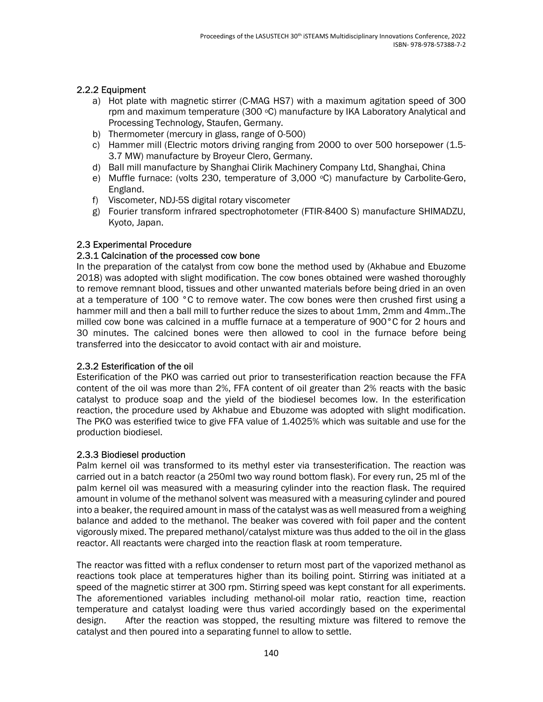## 2.2.2 Equipment

- a) Hot plate with magnetic stirrer (C-MAG HS7) with a maximum agitation speed of 300 rpm and maximum temperature (300 °C) manufacture by IKA Laboratory Analytical and Processing Technology, Staufen, Germany.
- b) Thermometer (mercury in glass, range of 0-500)
- c) Hammer mill (Electric motors driving ranging from 2000 to over 500 horsepower (1.5- 3.7 MW) manufacture by Broyeur Clero, Germany.
- d) Ball mill manufacture by Shanghai Clirik Machinery Company Ltd, Shanghai, China
- e) Muffle furnace: (volts 230, temperature of  $3,000$   $\degree$ C) manufacture by Carbolite-Gero, England.
- f) Viscometer, NDJ-5S digital rotary viscometer
- g) Fourier transform infrared spectrophotometer (FTIR-8400 S) manufacture SHIMADZU, Kyoto, Japan.

## 2.3 Experimental Procedure

## 2.3.1 Calcination of the processed cow bone

In the preparation of the catalyst from cow bone the method used by (Akhabue and Ebuzome 2018) was adopted with slight modification. The cow bones obtained were washed thoroughly to remove remnant blood, tissues and other unwanted materials before being dried in an oven at a temperature of 100 °C to remove water. The cow bones were then crushed first using a hammer mill and then a ball mill to further reduce the sizes to about 1mm, 2mm and 4mm..The milled cow bone was calcined in a muffle furnace at a temperature of 900°C for 2 hours and 30 minutes. The calcined bones were then allowed to cool in the furnace before being transferred into the desiccator to avoid contact with air and moisture.

### 2.3.2 Esterification of the oil

Esterification of the PKO was carried out prior to transesterification reaction because the FFA content of the oil was more than 2%, FFA content of oil greater than 2% reacts with the basic catalyst to produce soap and the yield of the biodiesel becomes low. In the esterification reaction, the procedure used by Akhabue and Ebuzome was adopted with slight modification. The PKO was esterified twice to give FFA value of 1.4025% which was suitable and use for the production biodiesel.

### 2.3.3 Biodiesel production

Palm kernel oil was transformed to its methyl ester via transesterification. The reaction was carried out in a batch reactor (a 250ml two way round bottom flask). For every run, 25 ml of the palm kernel oil was measured with a measuring cylinder into the reaction flask. The required amount in volume of the methanol solvent was measured with a measuring cylinder and poured into a beaker, the required amount in mass of the catalyst was as well measured from a weighing balance and added to the methanol. The beaker was covered with foil paper and the content vigorously mixed. The prepared methanol/catalyst mixture was thus added to the oil in the glass reactor. All reactants were charged into the reaction flask at room temperature.

The reactor was fitted with a reflux condenser to return most part of the vaporized methanol as reactions took place at temperatures higher than its boiling point. Stirring was initiated at a speed of the magnetic stirrer at 300 rpm. Stirring speed was kept constant for all experiments. The aforementioned variables including methanol-oil molar ratio, reaction time, reaction temperature and catalyst loading were thus varied accordingly based on the experimental design. After the reaction was stopped, the resulting mixture was filtered to remove the catalyst and then poured into a separating funnel to allow to settle.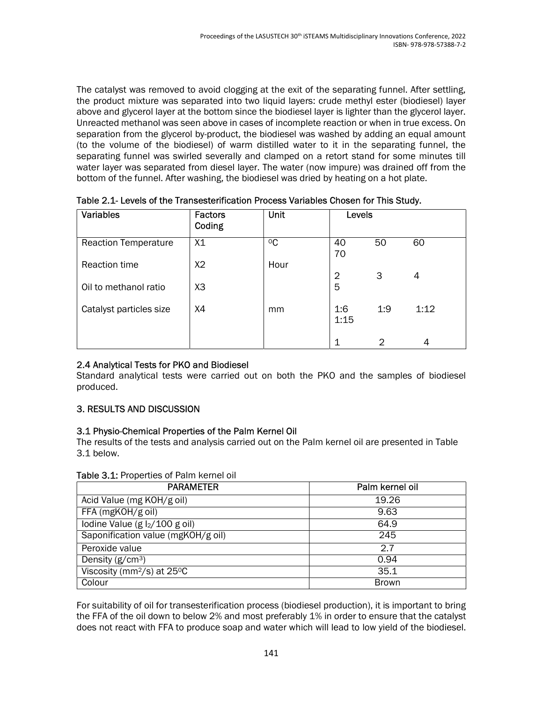The catalyst was removed to avoid clogging at the exit of the separating funnel. After settling, the product mixture was separated into two liquid layers: crude methyl ester (biodiesel) layer above and glycerol layer at the bottom since the biodiesel layer is lighter than the glycerol layer. Unreacted methanol was seen above in cases of incomplete reaction or when in true excess. On separation from the glycerol by-product, the biodiesel was washed by adding an equal amount (to the volume of the biodiesel) of warm distilled water to it in the separating funnel, the separating funnel was swirled severally and clamped on a retort stand for some minutes till water layer was separated from diesel layer. The water (now impure) was drained off from the bottom of the funnel. After washing, the biodiesel was dried by heating on a hot plate.

| <b>Variables</b>            | <b>Factors</b><br>Coding | Unit        | Levels         |     |      |
|-----------------------------|--------------------------|-------------|----------------|-----|------|
| <b>Reaction Temperature</b> | X1                       | $\rm ^{0}C$ | 40<br>70       | 50  | 60   |
| Reaction time               | X2                       | Hour        | $\overline{2}$ | 3   | 4    |
| Oil to methanol ratio       | X <sub>3</sub>           |             | 5              |     |      |
| Catalyst particles size     | X4                       | mm          | 1:6<br>1:15    | 1:9 | 1:12 |
|                             |                          |             | 1              | 2   | 4    |

Table 2.1- Levels of the Transesterification Process Variables Chosen for This Study.

## 2.4 Analytical Tests for PKO and Biodiesel

Standard analytical tests were carried out on both the PKO and the samples of biodiesel produced.

## 3. RESULTS AND DISCUSSION

## 3.1 Physio-Chemical Properties of the Palm Kernel Oil

The results of the tests and analysis carried out on the Palm kernel oil are presented in Table 3.1 below.

| <b>PARAMETER</b>                       | Palm kernel oil |
|----------------------------------------|-----------------|
| Acid Value (mg KOH/g oil)              | 19.26           |
| FFA (mgKOH/g oil)                      | 9.63            |
| lodine Value (g $l_2/100$ g oil)       | 64.9            |
| Saponification value (mgKOH/g oil)     | 245             |
| Peroxide value                         | 2.7             |
| Density $(g/cm3)$                      | 0.94            |
| Viscosity (mm <sup>2</sup> /s) at 25°C | 35.1            |
| Colour                                 | <b>Brown</b>    |

### Table 3.1: Properties of Palm kernel oil

For suitability of oil for transesterification process (biodiesel production), it is important to bring the FFA of the oil down to below 2% and most preferably 1% in order to ensure that the catalyst does not react with FFA to produce soap and water which will lead to low yield of the biodiesel.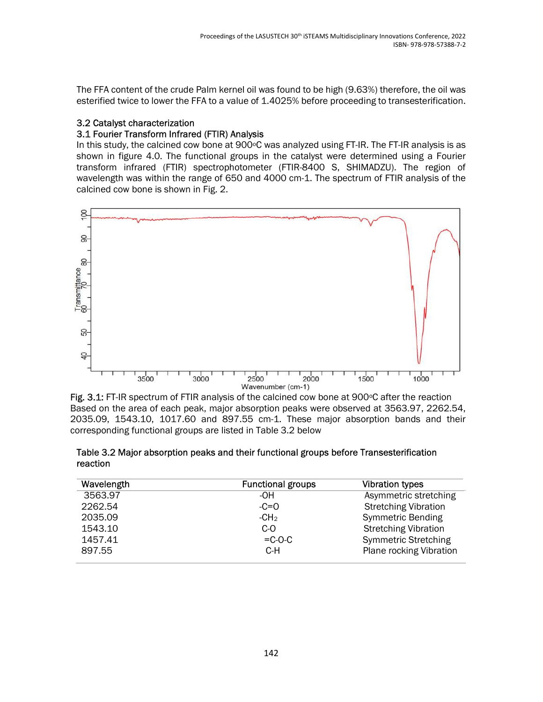The FFA content of the crude Palm kernel oil was found to be high (9.63%) therefore, the oil was esterified twice to lower the FFA to a value of 1.4025% before proceeding to transesterification.

## 3.2 Catalyst characterization

## 3.1 Fourier Transform Infrared (FTIR) Analysis

In this study, the calcined cow bone at  $900^{\circ}$ C was analyzed using FT-IR. The FT-IR analysis is as shown in figure 4.0. The functional groups in the catalyst were determined using a Fourier transform infrared (FTIR) spectrophotometer (FTIR-8400 S, SHIMADZU). The region of wavelength was within the range of 650 and 4000 cm-1. The spectrum of FTIR analysis of the calcined cow bone is shown in Fig. 2.



Fig. 3.1: FT-IR spectrum of FTIR analysis of the calcined cow bone at  $900^{\circ}$ C after the reaction Based on the area of each peak, major absorption peaks were observed at 3563.97, 2262.54, 2035.09, 1543.10, 1017.60 and 897.55 cm-1. These major absorption bands and their corresponding functional groups are listed in Table 3.2 below

| Table 3.2 Major absorption peaks and their functional groups before Transesterification |
|-----------------------------------------------------------------------------------------|
| reaction                                                                                |

| Wavelength | <b>Functional groups</b> | <b>Vibration types</b>      |
|------------|--------------------------|-----------------------------|
| 3563.97    | -OH                      | Asymmetric stretching       |
| 2262.54    | $-C=O$                   | <b>Stretching Vibration</b> |
| 2035.09    | -CH <sub>2</sub>         | <b>Symmetric Bending</b>    |
| 1543.10    | $C-O$                    | <b>Stretching Vibration</b> |
| 1457.41    | $=$ C-O-C                | <b>Symmetric Stretching</b> |
| 897.55     | C-H                      | Plane rocking Vibration     |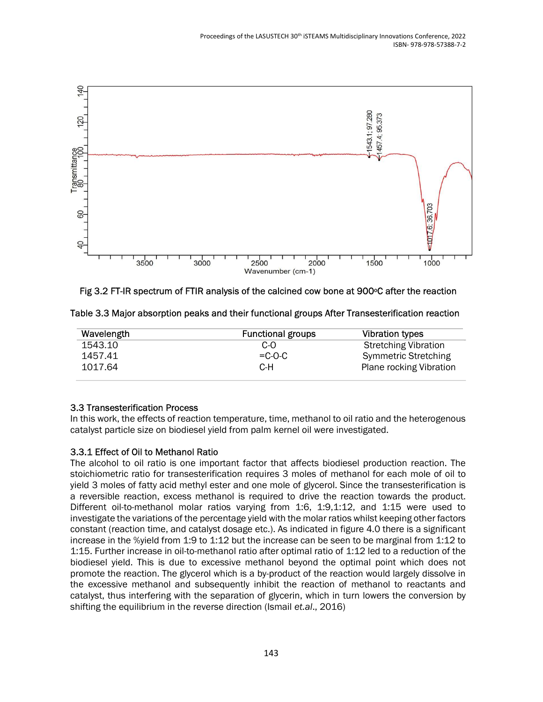

Fig 3.2 FT-IR spectrum of FTIR analysis of the calcined cow bone at 900°C after the reaction

| Wavelength | <b>Functional groups</b> | <b>Vibration types</b>         |
|------------|--------------------------|--------------------------------|
| 1543.10    | C-O                      | <b>Stretching Vibration</b>    |
| 1457.41    | $= C$ -O-C               | <b>Symmetric Stretching</b>    |
| 1017.64    | C-H                      | <b>Plane rocking Vibration</b> |

Table 3.3 Major absorption peaks and their functional groups After Transesterification reaction

### 3.3 Transesterification Process

In this work, the effects of reaction temperature, time, methanol to oil ratio and the heterogenous catalyst particle size on biodiesel yield from palm kernel oil were investigated.

## 3.3.1 Effect of Oil to Methanol Ratio

The alcohol to oil ratio is one important factor that affects biodiesel production reaction. The stoichiometric ratio for transesterification requires 3 moles of methanol for each mole of oil to yield 3 moles of fatty acid methyl ester and one mole of glycerol. Since the transesterification is a reversible reaction, excess methanol is required to drive the reaction towards the product. Different oil-to-methanol molar ratios varying from 1:6, 1:9,1:12, and 1:15 were used to investigate the variations of the percentage yield with the molar ratios whilst keeping other factors constant (reaction time, and catalyst dosage etc.). As indicated in figure 4.0 there is a significant increase in the %yield from 1:9 to 1:12 but the increase can be seen to be marginal from 1:12 to 1:15. Further increase in oil-to-methanol ratio after optimal ratio of 1:12 led to a reduction of the biodiesel yield. This is due to excessive methanol beyond the optimal point which does not promote the reaction. The glycerol which is a by-product of the reaction would largely dissolve in the excessive methanol and subsequently inhibit the reaction of methanol to reactants and catalyst, thus interfering with the separation of glycerin, which in turn lowers the conversion by shifting the equilibrium in the reverse direction (Ismail et.al., 2016)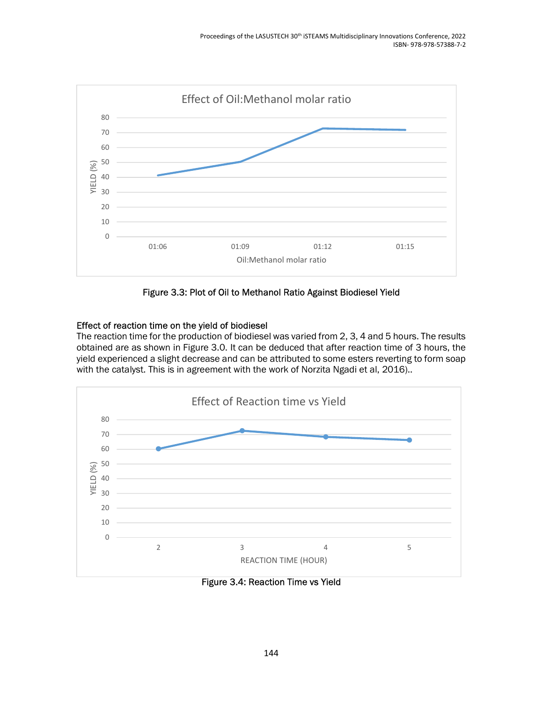

Figure 3.3: Plot of Oil to Methanol Ratio Against Biodiesel Yield

## Effect of reaction time on the yield of biodiesel

The reaction time for the production of biodiesel was varied from 2, 3, 4 and 5 hours. The results obtained are as shown in Figure 3.0. It can be deduced that after reaction time of 3 hours, the yield experienced a slight decrease and can be attributed to some esters reverting to form soap with the catalyst. This is in agreement with the work of Norzita Ngadi et al, 2016)..



Figure 3.4: Reaction Time vs Yield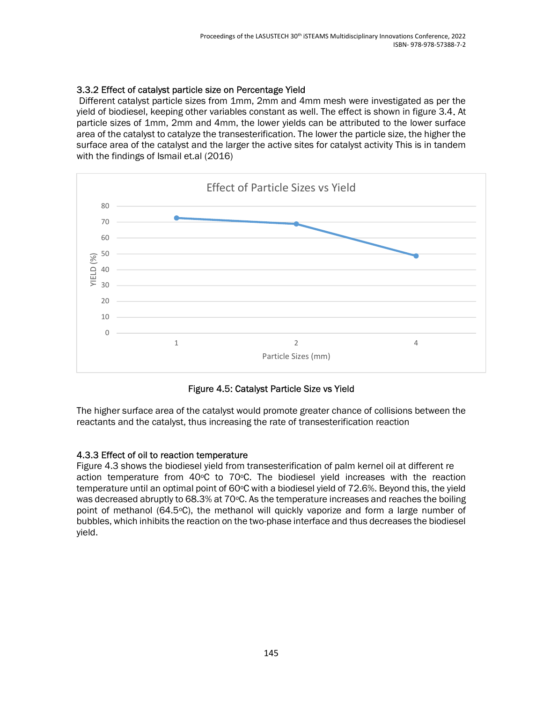## 3.3.2 Effect of catalyst particle size on Percentage Yield

 Different catalyst particle sizes from 1mm, 2mm and 4mm mesh were investigated as per the yield of biodiesel, keeping other variables constant as well. The effect is shown in figure 3.4. At particle sizes of 1mm, 2mm and 4mm, the lower yields can be attributed to the lower surface area of the catalyst to catalyze the transesterification. The lower the particle size, the higher the surface area of the catalyst and the larger the active sites for catalyst activity This is in tandem with the findings of Ismail et.al (2016)



Figure 4.5: Catalyst Particle Size vs Yield

The higher surface area of the catalyst would promote greater chance of collisions between the reactants and the catalyst, thus increasing the rate of transesterification reaction

### 4.3.3 Effect of oil to reaction temperature

Figure 4.3 shows the biodiesel yield from transesterification of palm kernel oil at different re action temperature from  $40^{\circ}$ C to  $70^{\circ}$ C. The biodiesel yield increases with the reaction temperature until an optimal point of 60oC with a biodiesel yield of 72.6%. Beyond this, the yield was decreased abruptly to 68.3% at 70°C. As the temperature increases and reaches the boiling point of methanol (64.5°C), the methanol will quickly vaporize and form a large number of bubbles, which inhibits the reaction on the two-phase interface and thus decreases the biodiesel yield.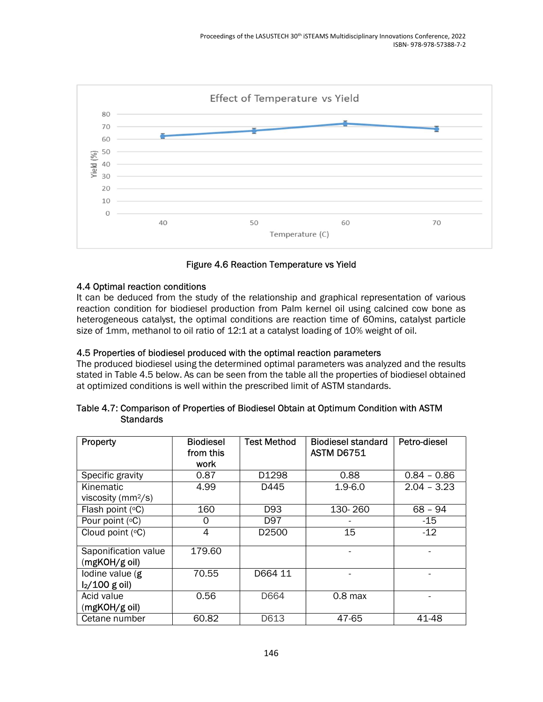

Figure 4.6 Reaction Temperature vs Yield

### 4.4 Optimal reaction conditions

It can be deduced from the study of the relationship and graphical representation of various reaction condition for biodiesel production from Palm kernel oil using calcined cow bone as heterogeneous catalyst, the optimal conditions are reaction time of 60mins, catalyst particle size of 1mm, methanol to oil ratio of 12:1 at a catalyst loading of 10% weight of oil.

### 4.5 Properties of biodiesel produced with the optimal reaction parameters

The produced biodiesel using the determined optimal parameters was analyzed and the results stated in Table 4.5 below. As can be seen from the table all the properties of biodiesel obtained at optimized conditions is well within the prescribed limit of ASTM standards.

| Table 4.7: Comparison of Properties of Biodiesel Obtain at Optimum Condition with ASTM |  |  |
|----------------------------------------------------------------------------------------|--|--|
| <b>Standards</b>                                                                       |  |  |

| Property                              | <b>Biodiesel</b><br>from this | <b>Test Method</b> | <b>Biodiesel standard</b><br><b>ASTM D6751</b> | Petro-diesel  |
|---------------------------------------|-------------------------------|--------------------|------------------------------------------------|---------------|
|                                       | work                          |                    |                                                |               |
| Specific gravity                      | 0.87                          | D1298              | 0.88                                           | $0.84 - 0.86$ |
| Kinematic                             | 4.99                          | D445               | $1.9 - 6.0$                                    | $2.04 - 3.23$ |
| viscosity ( $mm^2$ /s)                |                               |                    |                                                |               |
| Flash point $(°C)$                    | 160                           | D <sub>93</sub>    | 130-260                                        | $68 - 94$     |
| Pour point $(°C)$                     | O                             | D97                |                                                | $-15$         |
| Cloud point $(°C)$                    | 4                             | D <sub>2500</sub>  | 15                                             | $-12$         |
| Saponification value<br>(mgKOH/g oil) | 179.60                        |                    |                                                |               |
| lodine value $(g)$                    | 70.55                         | D664 11            |                                                |               |
| $I_2/100$ g oil)                      |                               |                    |                                                |               |
| Acid value                            | 0.56                          | D664               | $0.8$ max                                      |               |
| (mgKOH/g oil)                         |                               |                    |                                                |               |
| Cetane number                         | 60.82                         | D613               | 47-65                                          | 41-48         |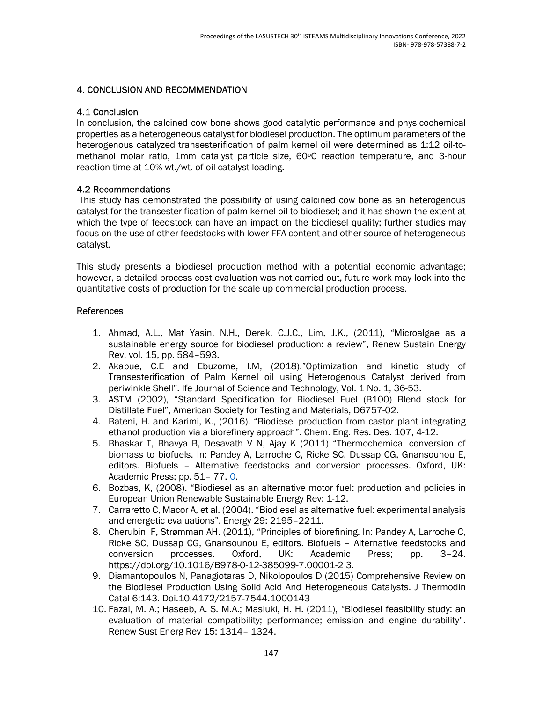#### 4. CONCLUSION AND RECOMMENDATION

#### 4.1 Conclusion

In conclusion, the calcined cow bone shows good catalytic performance and physicochemical properties as a heterogeneous catalyst for biodiesel production. The optimum parameters of the heterogenous catalyzed transesterification of palm kernel oil were determined as 1:12 oil-tomethanol molar ratio, 1mm catalyst particle size, 60°C reaction temperature, and 3-hour reaction time at 10% wt./wt. of oil catalyst loading.

#### 4.2 Recommendations

 This study has demonstrated the possibility of using calcined cow bone as an heterogenous catalyst for the transesterification of palm kernel oil to biodiesel; and it has shown the extent at which the type of feedstock can have an impact on the biodiesel quality; further studies may focus on the use of other feedstocks with lower FFA content and other source of heterogeneous catalyst.

This study presents a biodiesel production method with a potential economic advantage; however, a detailed process cost evaluation was not carried out, future work may look into the quantitative costs of production for the scale up commercial production process.

#### References

- 1. Ahmad, A.L., Mat Yasin, N.H., Derek, C.J.C., Lim, J.K., (2011), "Microalgae as a sustainable energy source for biodiesel production: a review", Renew Sustain Energy Rev, vol. 15, pp. 584–593.
- 2. Akabue, C.E and Ebuzome, I.M, (2018)."Optimization and kinetic study of Transesterification of Palm Kernel oil using Heterogenous Catalyst derived from periwinkle Shell". Ife Journal of Science and Technology, Vol. 1 No. 1, 36-53.
- 3. ASTM (2002), "Standard Specification for Biodiesel Fuel (B100) Blend stock for Distillate Fuel", American Society for Testing and Materials, D6757-02.
- 4. Bateni, H. and Karimi, K., (2016). "Biodiesel production from castor plant integrating ethanol production via a biorefinery approach". Chem. Eng. Res. Des. 107, 4-12.
- 5. Bhaskar T, Bhavya B, Desavath V N, Ajay K (2011) "Thermochemical conversion of biomass to biofuels. In: Pandey A, Larroche C, Ricke SC, Dussap CG, Gnansounou E, editors. Biofuels – Alternative feedstocks and conversion processes. Oxford, UK: Academic Press; pp. 51– 77. 0.
- 6. Bozbas, K, (2008). "Biodiesel as an alternative motor fuel: production and policies in European Union Renewable Sustainable Energy Rev: 1-12.
- 7. Carraretto C, Macor A, et al. (2004). "Biodiesel as alternative fuel: experimental analysis and energetic evaluations". Energy 29: 2195–2211.
- 8. Cherubini F, Strømman AH. (2011), "Principles of biorefining. In: Pandey A, Larroche C, Ricke SC, Dussap CG, Gnansounou E, editors. Biofuels – Alternative feedstocks and conversion processes. Oxford, UK: Academic Press; pp. 3–24. https://doi.org/10.1016/B978-0-12-385099-7.00001-2 3.
- 9. Diamantopoulos N, Panagiotaras D, Nikolopoulos D (2015) Comprehensive Review on the Biodiesel Production Using Solid Acid And Heterogeneous Catalysts. J Thermodin Catal 6:143. Doi.10.4172/2157-7544.1000143
- 10. Fazal, M. A.; Haseeb, A. S. M.A.; Masiuki, H. H. (2011), "Biodiesel feasibility study: an evaluation of material compatibility; performance; emission and engine durability". Renew Sust Energ Rev 15: 1314– 1324.